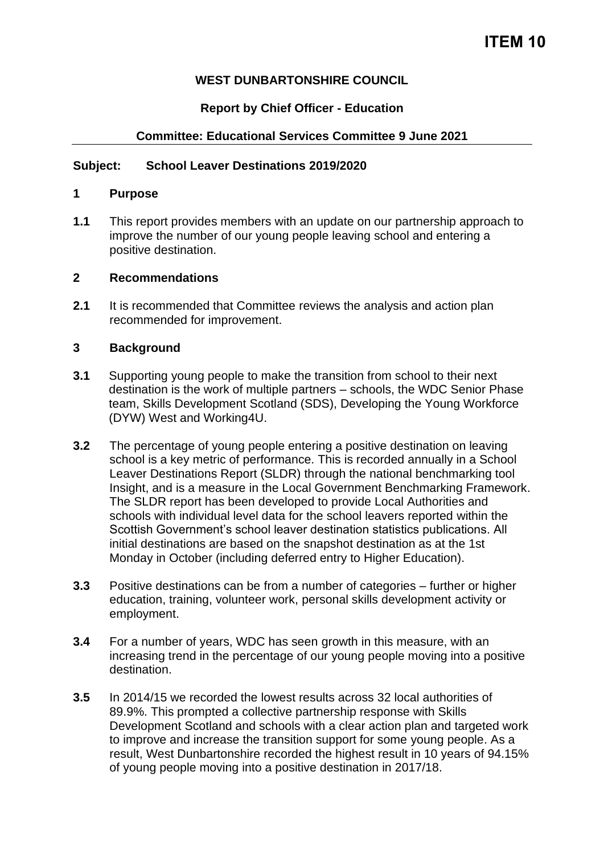### **WEST DUNBARTONSHIRE COUNCIL**

### **Report by Chief Officer - Education**

### **Committee: Educational Services Committee 9 June 2021**

#### **Subject: School Leaver Destinations 2019/2020**

#### **1 Purpose**

**1.1** This report provides members with an update on our partnership approach to improve the number of our young people leaving school and entering a positive destination.

#### **2 Recommendations**

**2.1** It is recommended that Committee reviews the analysis and action plan recommended for improvement.

#### **3 Background**

- **3.1** Supporting young people to make the transition from school to their next destination is the work of multiple partners – schools, the WDC Senior Phase team, Skills Development Scotland (SDS), Developing the Young Workforce (DYW) West and Working4U.
- **3.2** The percentage of young people entering a positive destination on leaving school is a key metric of performance. This is recorded annually in a School Leaver Destinations Report (SLDR) through the national benchmarking tool Insight, and is a measure in the Local Government Benchmarking Framework. The SLDR report has been developed to provide Local Authorities and schools with individual level data for the school leavers reported within the Scottish Government's school leaver destination statistics publications. All initial destinations are based on the snapshot destination as at the 1st Monday in October (including deferred entry to Higher Education).
- **3.3** Positive destinations can be from a number of categories further or higher education, training, volunteer work, personal skills development activity or employment.
- **3.4** For a number of years, WDC has seen growth in this measure, with an increasing trend in the percentage of our young people moving into a positive destination.
- **3.5** In 2014/15 we recorded the lowest results across 32 local authorities of 89.9%. This prompted a collective partnership response with Skills Development Scotland and schools with a clear action plan and targeted work to improve and increase the transition support for some young people. As a result, West Dunbartonshire recorded the highest result in 10 years of 94.15% of young people moving into a positive destination in 2017/18.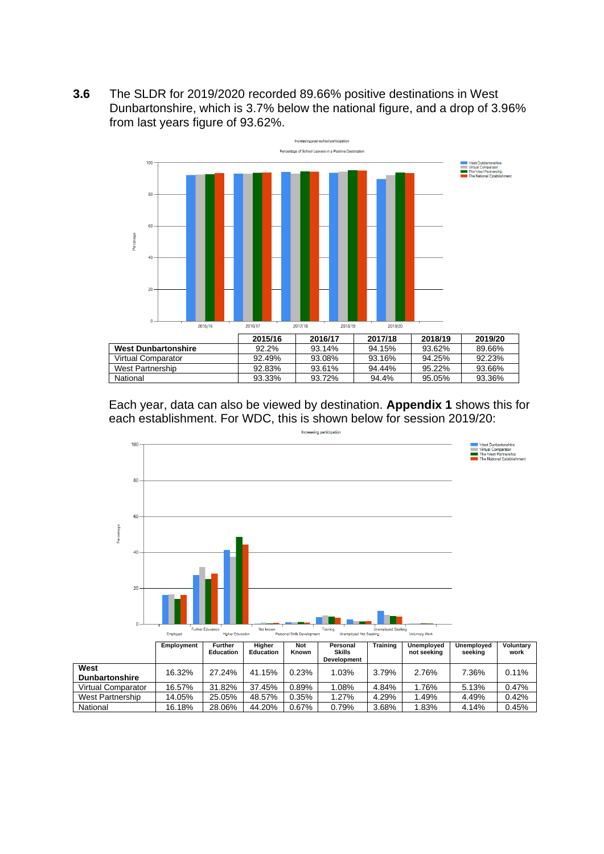**3.6** The SLDR for 2019/2020 recorded 89.66% positive destinations in West Dunbartonshire, which is 3.7% below the national figure, and a drop of 3.96% from last years figure of 93.62%.



Each year, data can also be viewed by destination. **Appendix 1** shows this for each establishment. For WDC, this is shown below for session 2019/20:



West Partnership 14.05% 25.05% 48.57% 0.35% 1.27% 4.29% 1.49% 4.49% 0.42% National 16.18% 28.06% 44.20% 0.67% 0.79% 3.68% 1.83% 4.14% 0.45%

**West** 

easing participation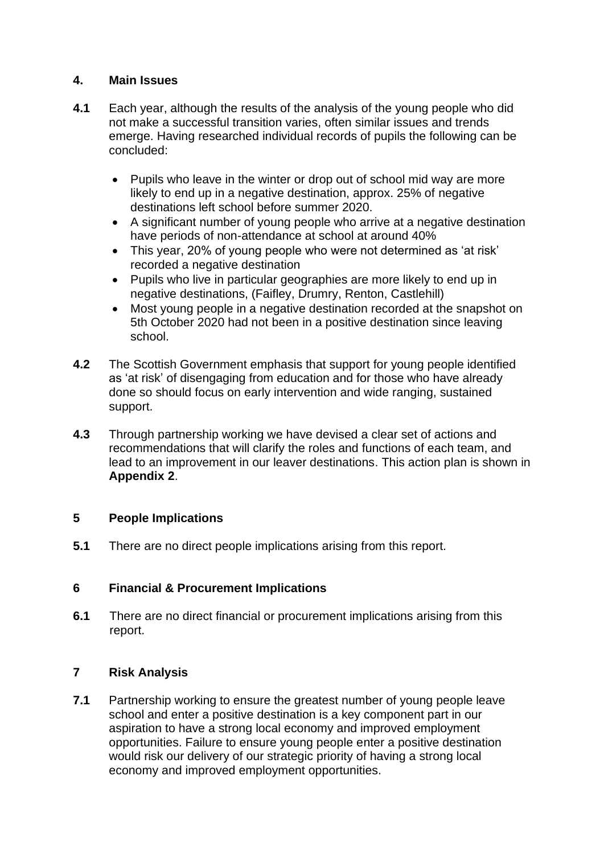### **4. Main Issues**

- **4.1** Each year, although the results of the analysis of the young people who did not make a successful transition varies, often similar issues and trends emerge. Having researched individual records of pupils the following can be concluded:
	- Pupils who leave in the winter or drop out of school mid way are more likely to end up in a negative destination, approx. 25% of negative destinations left school before summer 2020.
	- A significant number of young people who arrive at a negative destination have periods of non-attendance at school at around 40%
	- This year, 20% of young people who were not determined as 'at risk' recorded a negative destination
	- Pupils who live in particular geographies are more likely to end up in negative destinations, (Faifley, Drumry, Renton, Castlehill)
	- Most young people in a negative destination recorded at the snapshot on 5th October 2020 had not been in a positive destination since leaving school.
- **4.2** The Scottish Government emphasis that support for young people identified as 'at risk' of disengaging from education and for those who have already done so should focus on early intervention and wide ranging, sustained support.
- **4.3** Through partnership working we have devised a clear set of actions and recommendations that will clarify the roles and functions of each team, and lead to an improvement in our leaver destinations. This action plan is shown in **Appendix 2**.

#### **5 People Implications**

**5.1** There are no direct people implications arising from this report.

### **6 Financial & Procurement Implications**

**6.1** There are no direct financial or procurement implications arising from this report.

### **7 Risk Analysis**

**7.1** Partnership working to ensure the greatest number of young people leave school and enter a positive destination is a key component part in our aspiration to have a strong local economy and improved employment opportunities. Failure to ensure young people enter a positive destination would risk our delivery of our strategic priority of having a strong local economy and improved employment opportunities.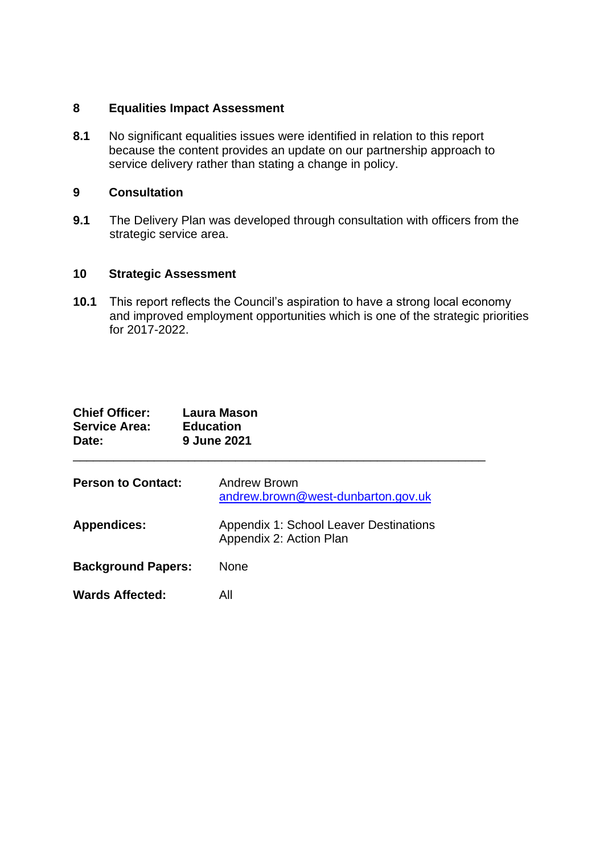#### **8 Equalities Impact Assessment**

**8.1** No significant equalities issues were identified in relation to this report because the content provides an update on our partnership approach to service delivery rather than stating a change in policy.

#### **9 Consultation**

**9.1** The Delivery Plan was developed through consultation with officers from the strategic service area.

#### **10 Strategic Assessment**

**10.1** This report reflects the Council's aspiration to have a strong local economy and improved employment opportunities which is one of the strategic priorities for 2017-2022.

| <b>Chief Officer:</b><br><b>Service Area:</b><br>Date: | <b>Laura Mason</b><br><b>Education</b><br>9 June 2021                    |
|--------------------------------------------------------|--------------------------------------------------------------------------|
| <b>Person to Contact:</b>                              | Andrew Brown<br>andrew.brown@west-dunbarton.gov.uk                       |
| <b>Appendices:</b>                                     | <b>Appendix 1: School Leaver Destinations</b><br>Appendix 2: Action Plan |
| <b>Background Papers:</b>                              | None                                                                     |
| <b>Wards Affected:</b>                                 | All                                                                      |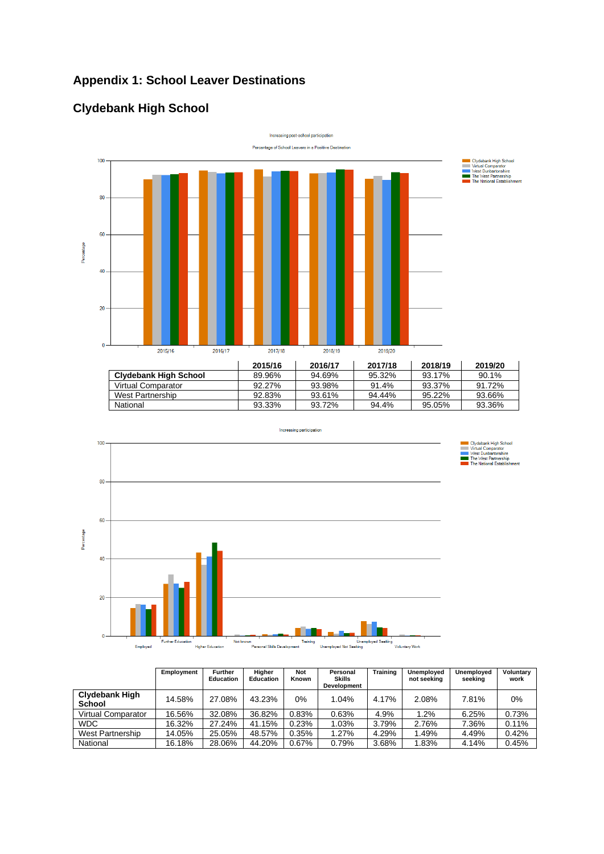# **Appendix 1: School Leaver Destinations**

# **Clydebank High School**



|                       | 2013/10 | 2010/17 | <b>201710</b> | <b>2010/19</b> | 2019/20 |
|-----------------------|---------|---------|---------------|----------------|---------|
| Clvdebank High School | 89.96%  | 94.69%  | 95.32%        | 93.17%         | 90.1%   |
| Virtual Comparator    | 92.27%  | 93.98%  | 91.4%         | 93.37%         | 91.72%  |
| West Partnership      | 92.83%  | 93.61%  | 94.44%        | 95.22%         | 93.66%  |
| National              | 93.33%  | 93.72%  | 94.4%         | 95.05%         | 93.36%  |



|                                        | Employment | <b>Further</b><br><b>Education</b> | Higher<br>Education | <b>Not</b><br>Known | Personal<br>Skills<br><b>Development</b> | Training | Unemployed<br>not seeking | Unemployed<br>seeking | Voluntary<br>work |
|----------------------------------------|------------|------------------------------------|---------------------|---------------------|------------------------------------------|----------|---------------------------|-----------------------|-------------------|
| <b>Clydebank High</b><br><b>School</b> | 14.58%     | 27.08%                             | 43.23%              | $0\%$               | 1.04%                                    | 4.17%    | 2.08%                     | 7.81%                 | $0\%$             |
| <b>Virtual Comparator</b>              | 16.56%     | 32.08%                             | 36.82%              | 0.83%               | 0.63%                                    | 4.9%     | 1.2%                      | 6.25%                 | 0.73%             |
| WDC                                    | 16.32%     | 27.24%                             | 41.15%              | 0.23%               | 1.03%                                    | 3.79%    | 2.76%                     | 7.36%                 | 0.11%             |
| West Partnership                       | 14.05%     | 25.05%                             | 48.57%              | 0.35%               | 1.27%                                    | 4.29%    | 1.49%                     | 4.49%                 | 0.42%             |
| National                               | 16.18%     | 28.06%                             | 44.20%              | 0.67%               | 0.79%                                    | 3.68%    | 1.83%                     | 4.14%                 | 0.45%             |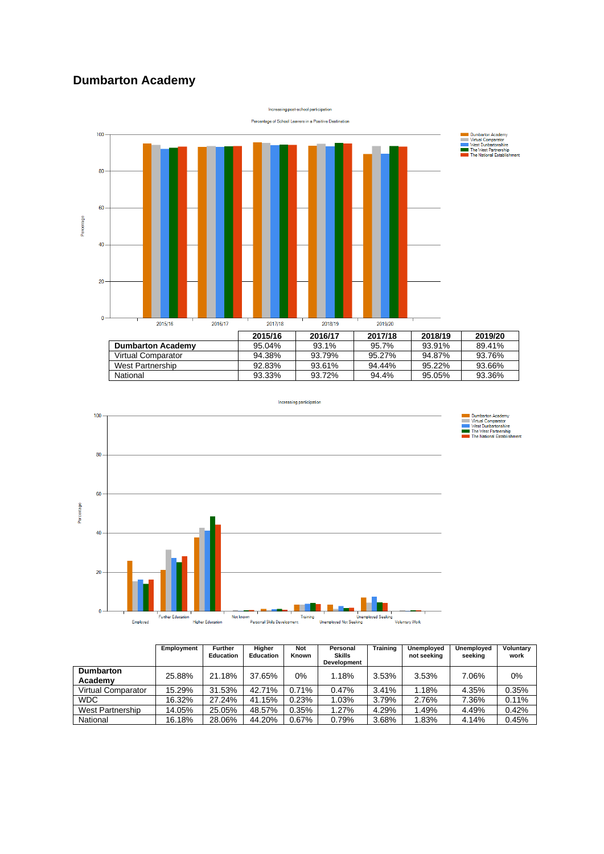### **Dumbarton Academy**





|                             | Employment | <b>Further</b><br><b>Education</b> | Higher<br><b>Education</b> | <b>Not</b><br>Known | Personal<br><b>Skills</b><br><b>Development</b> | <b>Training</b> | Unemployed<br>not seeking | Unemployed<br>seeking | Voluntary<br>work |
|-----------------------------|------------|------------------------------------|----------------------------|---------------------|-------------------------------------------------|-----------------|---------------------------|-----------------------|-------------------|
| <b>Dumbarton</b><br>Academy | 25.88%     | 21.18%                             | 37.65%                     | 0%                  | 1.18%                                           | 3.53%           | 3.53%                     | 7.06%                 | 0%                |
| <b>Virtual Comparator</b>   | 15.29%     | 31.53%                             | 42.71%                     | 0.71%               | 0.47%                                           | 3.41%           | 1.18%                     | 4.35%                 | 0.35%             |
| <b>WDC</b>                  | 16.32%     | 27.24%                             | 41.15%                     | 0.23%               | 1.03%                                           | 3.79%           | 2.76%                     | 7.36%                 | 0.11%             |
| West Partnership            | 14.05%     | 25.05%                             | 48.57%                     | 0.35%               | 1.27%                                           | 4.29%           | 1.49%                     | 4.49%                 | 0.42%             |
| National                    | 16.18%     | 28.06%                             | 44.20%                     | 0.67%               | 0.79%                                           | 3.68%           | 1.83%                     | 4.14%                 | 0.45%             |

■ Dumbarton Academy<br>Virtual Comparator<br>West Dumbartonshire<br>The West Partnership<br>The National Establishment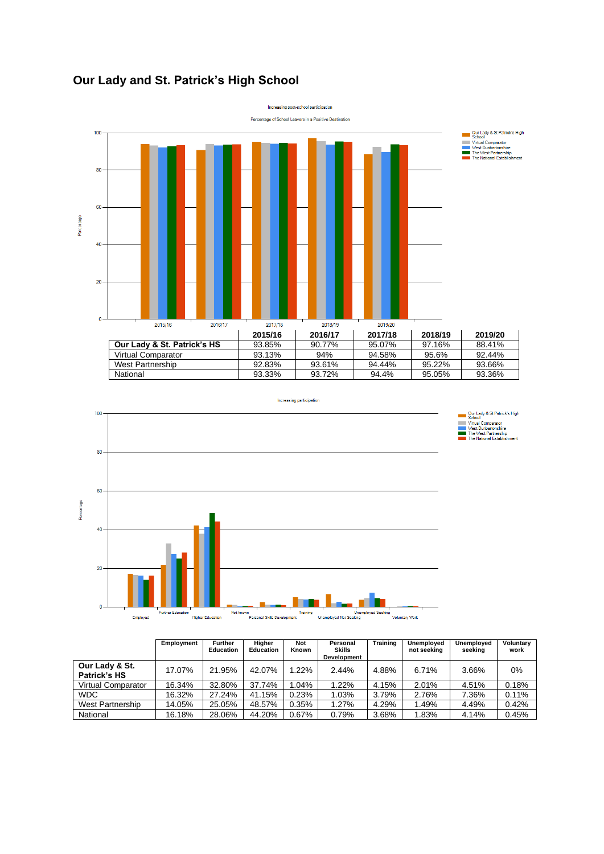### **Our Lady and St. Patrick's High School**





|                                       | Employment | <b>Further</b><br><b>Education</b> | Higher<br><b>Education</b> | <b>Not</b><br>Known | Personal<br>Skills<br>Development | Training | Unemployed<br>not seeking | Unemployed<br>seeking | Voluntary<br>work |
|---------------------------------------|------------|------------------------------------|----------------------------|---------------------|-----------------------------------|----------|---------------------------|-----------------------|-------------------|
| Our Lady & St.<br><b>Patrick's HS</b> | 17.07%     | 21.95%                             | 42.07%                     | 1.22%               | 2.44%                             | 4.88%    | $6.71\%$                  | 3.66%                 | $0\%$             |
| <b>Virtual Comparator</b>             | 16.34%     | 32.80%                             | 37.74%                     | .04%                | 1.22%                             | 4.15%    | 2.01%                     | 4.51%                 | 0.18%             |
| <b>WDC</b>                            | 16.32%     | 27.24%                             | 41.15%                     | 0.23%               | 1.03%                             | 3.79%    | 2.76%                     | 7.36%                 | 0.11%             |
| West Partnership                      | 14.05%     | 25.05%                             | 48.57%                     | 0.35%               | 1.27%                             | 4.29%    | 1.49%                     | 4.49%                 | 0.42%             |
| National                              | 16.18%     | 28.06%                             | 44.20%                     | 0.67%               | 0.79%                             | 3.68%    | 1.83%                     | 4.14%                 | 0.45%             |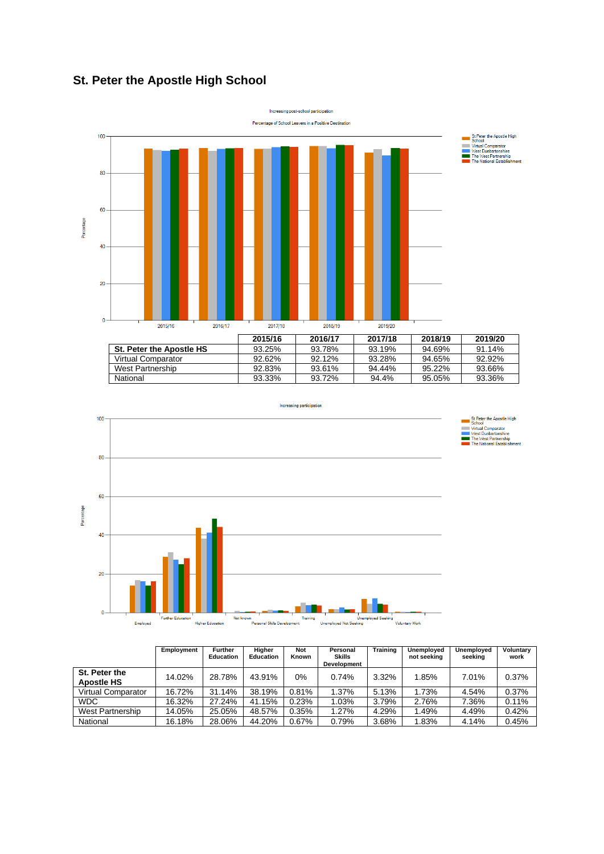### **St. Peter the Apostle High School**





|                                    | Employment | <b>Further</b><br><b>Education</b> | Higher<br><b>Education</b> | <b>Not</b><br>Known | Personal<br>Skills<br><b>Development</b> | <b>Training</b> | Unemploved<br>not seeking | Unemployed<br>seekina | Voluntary<br>work |
|------------------------------------|------------|------------------------------------|----------------------------|---------------------|------------------------------------------|-----------------|---------------------------|-----------------------|-------------------|
| St. Peter the<br><b>Apostle HS</b> | 14.02%     | 28.78%                             | 43.91%                     | 0%                  | 0.74%                                    | 3.32%           | 1.85%                     | 7.01%                 | 0.37%             |
| <b>Virtual Comparator</b>          | 16.72%     | 31.14%                             | 38.19%                     | 0.81%               | 1.37%                                    | 5.13%           | 1.73%                     | 4.54%                 | $0.37\%$          |
| <b>WDC</b>                         | 16.32%     | 27.24%                             | 41.15%                     | 0.23%               | 1.03%                                    | 3.79%           | 2.76%                     | 7.36%                 | 0.11%             |
| West Partnership                   | 14.05%     | 25.05%                             | 48.57%                     | 0.35%               | 1.27%                                    | 4.29%           | 1.49%                     | 4.49%                 | 0.42%             |
| National                           | 16.18%     | 28.06%                             | 44.20%                     | 0.67%               | 0.79%                                    | 3.68%           | 1.83%                     | 4.14%                 | 0.45%             |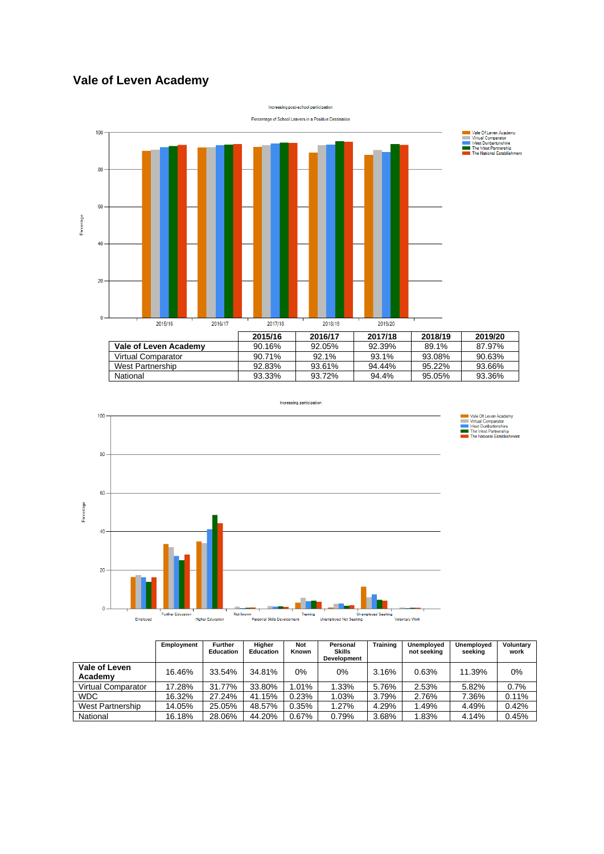### **Vale of Leven Academy**





|                          | Employment | <b>Further</b><br><b>Education</b> | Higher<br><b>Education</b> | <b>Not</b><br>Known | Personal<br><b>Skills</b><br><b>Development</b> | <b>Training</b> | Unemployed<br>not seeking | Unemployed<br>seeking | Voluntary<br>work |
|--------------------------|------------|------------------------------------|----------------------------|---------------------|-------------------------------------------------|-----------------|---------------------------|-----------------------|-------------------|
| Vale of Leven<br>Academy | 16.46%     | 33.54%                             | 34.81%                     | 0%                  | 0%                                              | 3.16%           | 0.63%                     | 11.39%                | $0\%$             |
| Virtual Comparator       | 17.28%     | 31.77%                             | 33.80%                     | 1.01%               | 1.33%                                           | 5.76%           | 2.53%                     | 5.82%                 | 0.7%              |
| <b>WDC</b>               | 16.32%     | 27.24%                             | 41.15%                     | 0.23%               | 1.03%                                           | 3.79%           | 2.76%                     | 7.36%                 | 0.11%             |
| West Partnership         | 14.05%     | 25.05%                             | 48.57%                     | 0.35%               | 1.27%                                           | 4.29%           | 1.49%                     | 4.49%                 | 0.42%             |
| National                 | 16.18%     | 28.06%                             | 44.20%                     | 0.67%               | 0.79%                                           | 3.68%           | 1.83%                     | 4.14%                 | 0.45%             |

Vale Of Leven Academy<br>
Virtual Comparator<br>
West Dunbartonshire<br>
The West Partnership<br>
The National Establishm